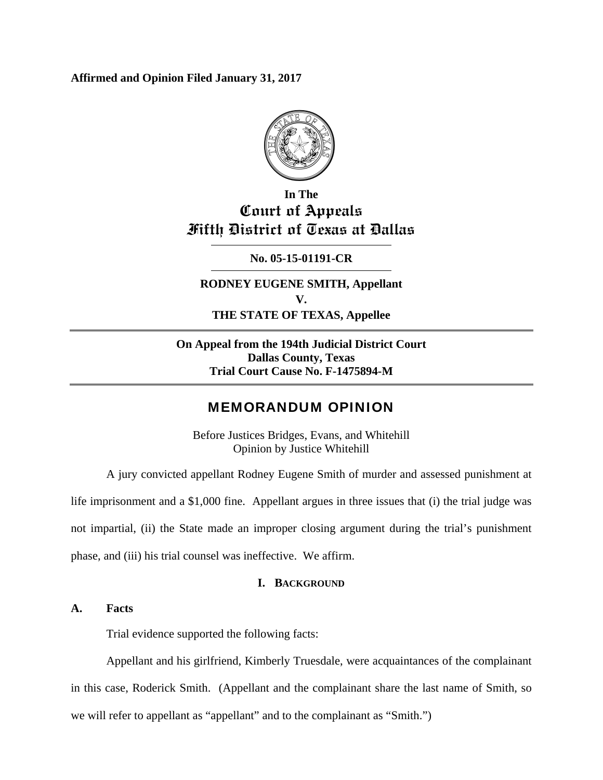**Affirmed and Opinion Filed January 31, 2017** 



# **In The Court of Appeals Fifth District of Texas at Dallas**

# **No. 05-15-01191-CR**

**RODNEY EUGENE SMITH, Appellant V. THE STATE OF TEXAS, Appellee** 

**On Appeal from the 194th Judicial District Court Dallas County, Texas Trial Court Cause No. F-1475894-M** 

# MEMORANDUM OPINION

Before Justices Bridges, Evans, and Whitehill Opinion by Justice Whitehill

A jury convicted appellant Rodney Eugene Smith of murder and assessed punishment at

life imprisonment and a \$1,000 fine. Appellant argues in three issues that (i) the trial judge was

not impartial, (ii) the State made an improper closing argument during the trial's punishment

phase, and (iii) his trial counsel was ineffective. We affirm.

# **I. BACKGROUND**

# **A. Facts**

Trial evidence supported the following facts:

Appellant and his girlfriend, Kimberly Truesdale, were acquaintances of the complainant in this case, Roderick Smith. (Appellant and the complainant share the last name of Smith, so we will refer to appellant as "appellant" and to the complainant as "Smith.")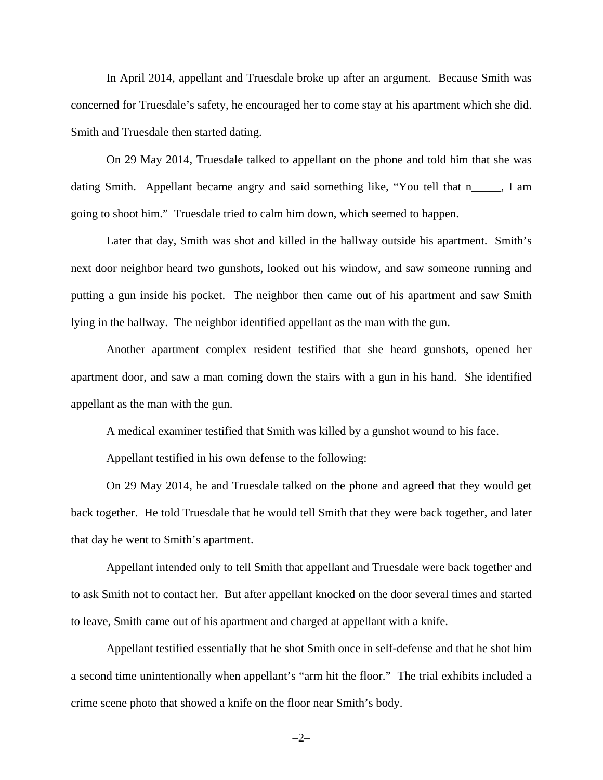In April 2014, appellant and Truesdale broke up after an argument. Because Smith was concerned for Truesdale's safety, he encouraged her to come stay at his apartment which she did. Smith and Truesdale then started dating.

On 29 May 2014, Truesdale talked to appellant on the phone and told him that she was dating Smith. Appellant became angry and said something like, "You tell that n\_\_\_\_\_, I am going to shoot him." Truesdale tried to calm him down, which seemed to happen.

Later that day, Smith was shot and killed in the hallway outside his apartment. Smith's next door neighbor heard two gunshots, looked out his window, and saw someone running and putting a gun inside his pocket. The neighbor then came out of his apartment and saw Smith lying in the hallway. The neighbor identified appellant as the man with the gun.

Another apartment complex resident testified that she heard gunshots, opened her apartment door, and saw a man coming down the stairs with a gun in his hand. She identified appellant as the man with the gun.

A medical examiner testified that Smith was killed by a gunshot wound to his face.

Appellant testified in his own defense to the following:

On 29 May 2014, he and Truesdale talked on the phone and agreed that they would get back together. He told Truesdale that he would tell Smith that they were back together, and later that day he went to Smith's apartment.

Appellant intended only to tell Smith that appellant and Truesdale were back together and to ask Smith not to contact her. But after appellant knocked on the door several times and started to leave, Smith came out of his apartment and charged at appellant with a knife.

Appellant testified essentially that he shot Smith once in self-defense and that he shot him a second time unintentionally when appellant's "arm hit the floor." The trial exhibits included a crime scene photo that showed a knife on the floor near Smith's body.

–2–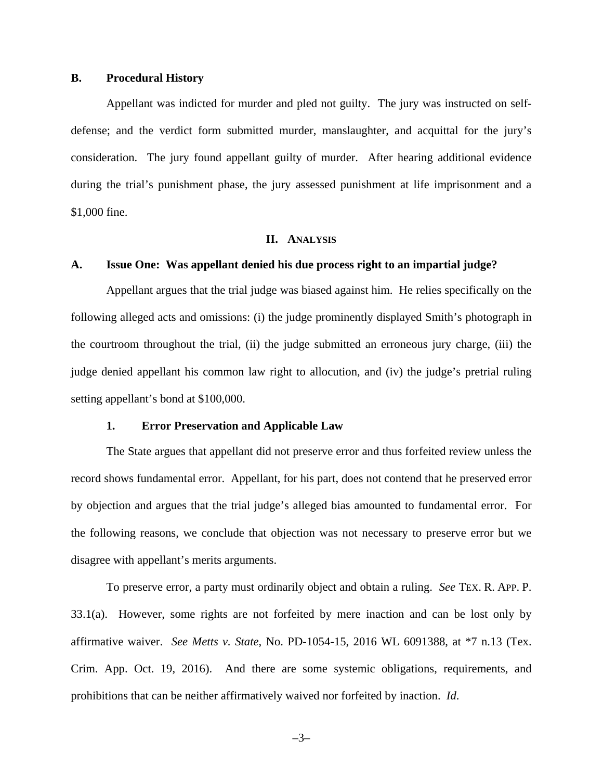### **B. Procedural History**

Appellant was indicted for murder and pled not guilty. The jury was instructed on selfdefense; and the verdict form submitted murder, manslaughter, and acquittal for the jury's consideration. The jury found appellant guilty of murder. After hearing additional evidence during the trial's punishment phase, the jury assessed punishment at life imprisonment and a \$1,000 fine.

#### **II. ANALYSIS**

#### **A. Issue One: Was appellant denied his due process right to an impartial judge?**

Appellant argues that the trial judge was biased against him. He relies specifically on the following alleged acts and omissions: (i) the judge prominently displayed Smith's photograph in the courtroom throughout the trial, (ii) the judge submitted an erroneous jury charge, (iii) the judge denied appellant his common law right to allocution, and (iv) the judge's pretrial ruling setting appellant's bond at \$100,000.

#### **1. Error Preservation and Applicable Law**

The State argues that appellant did not preserve error and thus forfeited review unless the record shows fundamental error. Appellant, for his part, does not contend that he preserved error by objection and argues that the trial judge's alleged bias amounted to fundamental error. For the following reasons, we conclude that objection was not necessary to preserve error but we disagree with appellant's merits arguments.

To preserve error, a party must ordinarily object and obtain a ruling. *See* TEX. R. APP. P. 33.1(a). However, some rights are not forfeited by mere inaction and can be lost only by affirmative waiver. *See Metts v. State*, No. PD-1054-15, 2016 WL 6091388, at \*7 n.13 (Tex. Crim. App. Oct. 19, 2016). And there are some systemic obligations, requirements, and prohibitions that can be neither affirmatively waived nor forfeited by inaction. *Id*.

$$
-3-
$$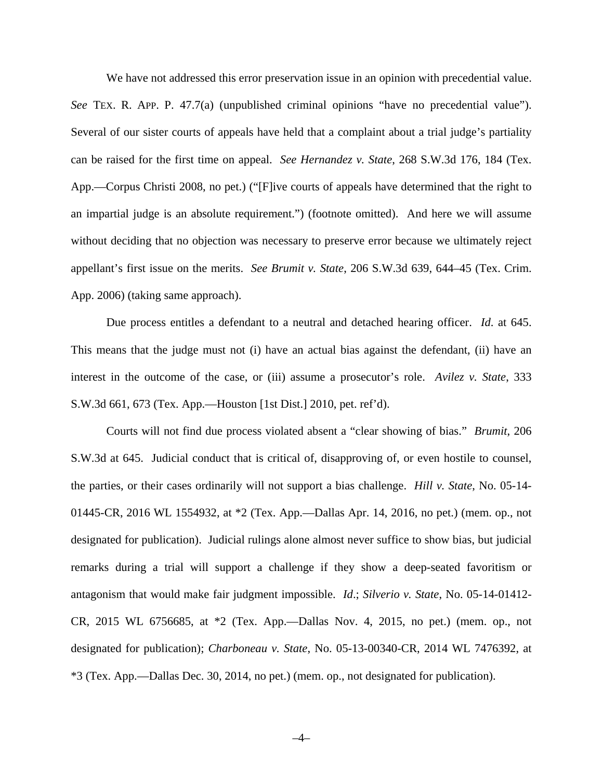We have not addressed this error preservation issue in an opinion with precedential value. *See* TEX. R. APP. P. 47.7(a) (unpublished criminal opinions "have no precedential value"). Several of our sister courts of appeals have held that a complaint about a trial judge's partiality can be raised for the first time on appeal. *See Hernandez v. State*, 268 S.W.3d 176, 184 (Tex. App.—Corpus Christi 2008, no pet.) ("[F]ive courts of appeals have determined that the right to an impartial judge is an absolute requirement.") (footnote omitted). And here we will assume without deciding that no objection was necessary to preserve error because we ultimately reject appellant's first issue on the merits. *See Brumit v. State*, 206 S.W.3d 639, 644–45 (Tex. Crim. App. 2006) (taking same approach).

Due process entitles a defendant to a neutral and detached hearing officer. *Id*. at 645. This means that the judge must not (i) have an actual bias against the defendant, (ii) have an interest in the outcome of the case, or (iii) assume a prosecutor's role. *Avilez v. State*, 333 S.W.3d 661, 673 (Tex. App.—Houston [1st Dist.] 2010, pet. ref'd).

Courts will not find due process violated absent a "clear showing of bias." *Brumit*, 206 S.W.3d at 645. Judicial conduct that is critical of, disapproving of, or even hostile to counsel, the parties, or their cases ordinarily will not support a bias challenge. *Hill v. State*, No. 05-14- 01445-CR, 2016 WL 1554932, at \*2 (Tex. App.—Dallas Apr. 14, 2016, no pet.) (mem. op., not designated for publication). Judicial rulings alone almost never suffice to show bias, but judicial remarks during a trial will support a challenge if they show a deep-seated favoritism or antagonism that would make fair judgment impossible. *Id*.; *Silverio v. State*, No. 05-14-01412- CR, 2015 WL 6756685, at \*2 (Tex. App.—Dallas Nov. 4, 2015, no pet.) (mem. op., not designated for publication); *Charboneau v. State*, No. 05-13-00340-CR, 2014 WL 7476392, at \*3 (Tex. App.—Dallas Dec. 30, 2014, no pet.) (mem. op., not designated for publication).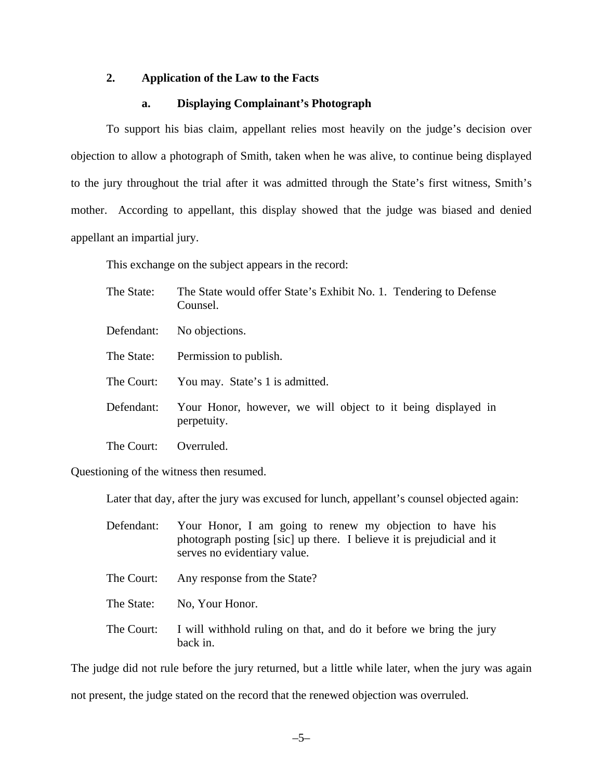# **2. Application of the Law to the Facts**

# **a. Displaying Complainant's Photograph**

To support his bias claim, appellant relies most heavily on the judge's decision over objection to allow a photograph of Smith, taken when he was alive, to continue being displayed to the jury throughout the trial after it was admitted through the State's first witness, Smith's mother. According to appellant, this display showed that the judge was biased and denied appellant an impartial jury.

This exchange on the subject appears in the record:

| The State: | The State would offer State's Exhibit No. 1. Tendering to Defense<br>Counsel. |
|------------|-------------------------------------------------------------------------------|
| Defendant: | No objections.                                                                |
| The State: | Permission to publish.                                                        |
| The Court: | You may. State's 1 is admitted.                                               |
| Defendant: | Your Honor, however, we will object to it being displayed in<br>perpetuity.   |
| The Court: | Overruled.                                                                    |

Questioning of the witness then resumed.

Later that day, after the jury was excused for lunch, appellant's counsel objected again:

| Defendant: | Your Honor, I am going to renew my objection to have his<br>photograph posting [sic] up there. I believe it is prejudicial and it<br>serves no evidentiary value. |
|------------|-------------------------------------------------------------------------------------------------------------------------------------------------------------------|
| The Court: | Any response from the State?                                                                                                                                      |
| The State: | No, Your Honor.                                                                                                                                                   |
| The Court: | I will withhold ruling on that, and do it before we bring the jury<br>back in.                                                                                    |

The judge did not rule before the jury returned, but a little while later, when the jury was again not present, the judge stated on the record that the renewed objection was overruled.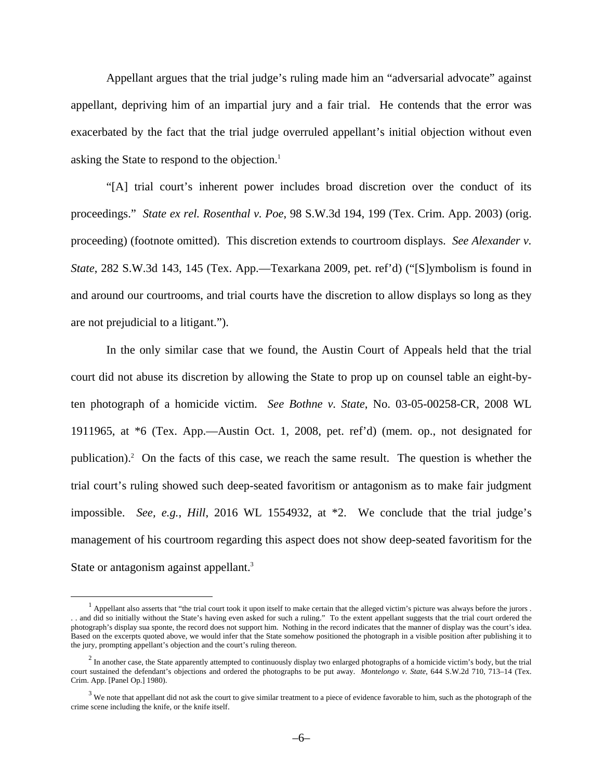Appellant argues that the trial judge's ruling made him an "adversarial advocate" against appellant, depriving him of an impartial jury and a fair trial. He contends that the error was exacerbated by the fact that the trial judge overruled appellant's initial objection without even asking the State to respond to the objection.<sup>1</sup>

"[A] trial court's inherent power includes broad discretion over the conduct of its proceedings." *State ex rel. Rosenthal v. Poe*, 98 S.W.3d 194, 199 (Tex. Crim. App. 2003) (orig. proceeding) (footnote omitted). This discretion extends to courtroom displays. *See Alexander v. State*, 282 S.W.3d 143, 145 (Tex. App.—Texarkana 2009, pet. ref'd) ("[S]ymbolism is found in and around our courtrooms, and trial courts have the discretion to allow displays so long as they are not prejudicial to a litigant.").

In the only similar case that we found, the Austin Court of Appeals held that the trial court did not abuse its discretion by allowing the State to prop up on counsel table an eight-byten photograph of a homicide victim. *See Bothne v. State*, No. 03-05-00258-CR, 2008 WL 1911965, at \*6 (Tex. App.—Austin Oct. 1, 2008, pet. ref'd) (mem. op., not designated for publication).<sup>2</sup> On the facts of this case, we reach the same result. The question is whether the trial court's ruling showed such deep-seated favoritism or antagonism as to make fair judgment impossible. *See, e.g.*, *Hill*, 2016 WL 1554932, at \*2. We conclude that the trial judge's management of his courtroom regarding this aspect does not show deep-seated favoritism for the State or antagonism against appellant.<sup>3</sup>

 $\frac{1}{1}$ <sup>1</sup> Appellant also asserts that "the trial court took it upon itself to make certain that the alleged victim's picture was always before the jurors . .. and did so initially without the State's having even asked for such a ruling." To the extent appellant suggests that the trial court ordered the photograph's display sua sponte, the record does not support him. Nothing in the record indicates that the manner of display was the court's idea. Based on the excerpts quoted above, we would infer that the State somehow positioned the photograph in a visible position after publishing it to the jury, prompting appellant's objection and the court's ruling thereon.

 $2 \text{ In another case, the State apparently attempted to continuously display two enlarged photographs of a homicide victim's body, but the trial.}$ court sustained the defendant's objections and ordered the photographs to be put away. *Montelongo v. State*, 644 S.W.2d 710, 713–14 (Tex. Crim. App. [Panel Op.] 1980).

 $3$  We note that appellant did not ask the court to give similar treatment to a piece of evidence favorable to him, such as the photograph of the crime scene including the knife, or the knife itself.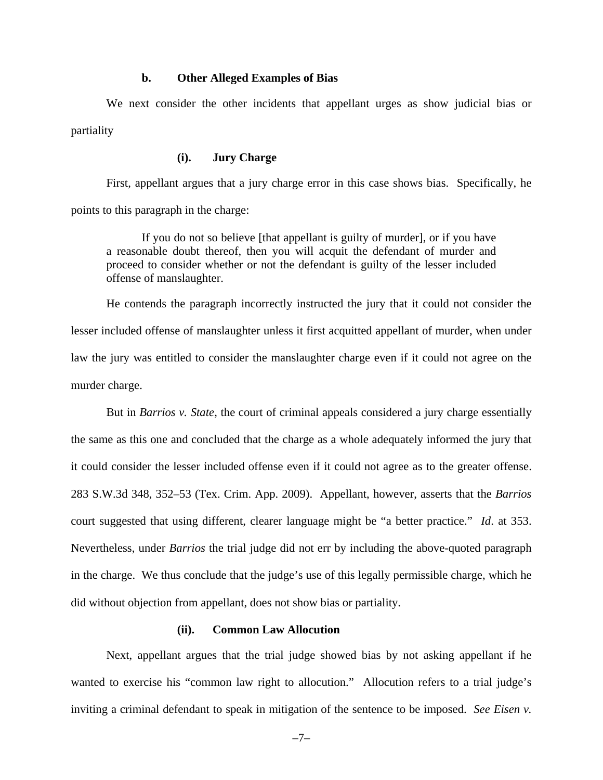#### **b. Other Alleged Examples of Bias**

We next consider the other incidents that appellant urges as show judicial bias or partiality

#### **(i). Jury Charge**

First, appellant argues that a jury charge error in this case shows bias. Specifically, he points to this paragraph in the charge:

 If you do not so believe [that appellant is guilty of murder], or if you have a reasonable doubt thereof, then you will acquit the defendant of murder and proceed to consider whether or not the defendant is guilty of the lesser included offense of manslaughter.

He contends the paragraph incorrectly instructed the jury that it could not consider the lesser included offense of manslaughter unless it first acquitted appellant of murder, when under law the jury was entitled to consider the manslaughter charge even if it could not agree on the murder charge.

But in *Barrios v. State*, the court of criminal appeals considered a jury charge essentially the same as this one and concluded that the charge as a whole adequately informed the jury that it could consider the lesser included offense even if it could not agree as to the greater offense. 283 S.W.3d 348, 352–53 (Tex. Crim. App. 2009). Appellant, however, asserts that the *Barrios* court suggested that using different, clearer language might be "a better practice." *Id*. at 353. Nevertheless, under *Barrios* the trial judge did not err by including the above-quoted paragraph in the charge. We thus conclude that the judge's use of this legally permissible charge, which he did without objection from appellant, does not show bias or partiality.

### **(ii). Common Law Allocution**

Next, appellant argues that the trial judge showed bias by not asking appellant if he wanted to exercise his "common law right to allocution." Allocution refers to a trial judge's inviting a criminal defendant to speak in mitigation of the sentence to be imposed. *See Eisen v.*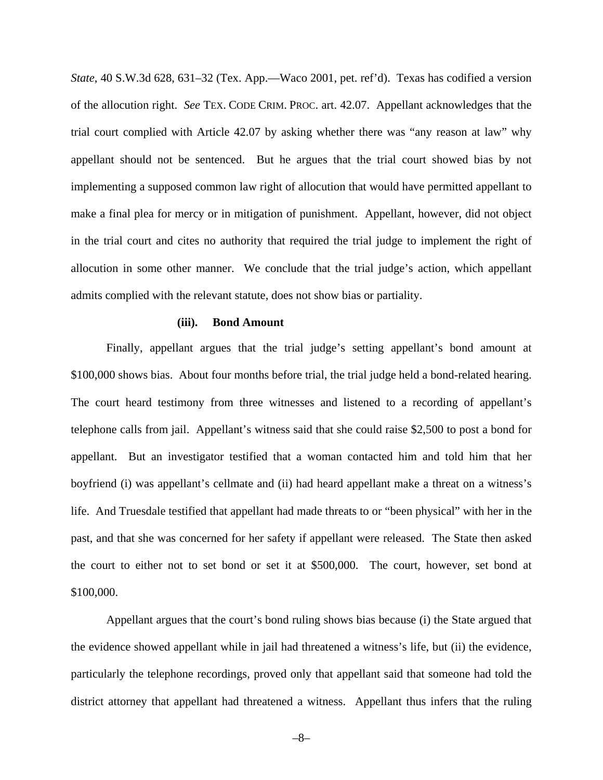*State*, 40 S.W.3d 628, 631–32 (Tex. App.—Waco 2001, pet. ref'd). Texas has codified a version of the allocution right. *See* TEX. CODE CRIM. PROC. art. 42.07. Appellant acknowledges that the trial court complied with Article 42.07 by asking whether there was "any reason at law" why appellant should not be sentenced. But he argues that the trial court showed bias by not implementing a supposed common law right of allocution that would have permitted appellant to make a final plea for mercy or in mitigation of punishment. Appellant, however, did not object in the trial court and cites no authority that required the trial judge to implement the right of allocution in some other manner. We conclude that the trial judge's action, which appellant admits complied with the relevant statute, does not show bias or partiality.

#### **(iii). Bond Amount**

Finally, appellant argues that the trial judge's setting appellant's bond amount at \$100,000 shows bias. About four months before trial, the trial judge held a bond-related hearing. The court heard testimony from three witnesses and listened to a recording of appellant's telephone calls from jail. Appellant's witness said that she could raise \$2,500 to post a bond for appellant. But an investigator testified that a woman contacted him and told him that her boyfriend (i) was appellant's cellmate and (ii) had heard appellant make a threat on a witness's life. And Truesdale testified that appellant had made threats to or "been physical" with her in the past, and that she was concerned for her safety if appellant were released. The State then asked the court to either not to set bond or set it at \$500,000. The court, however, set bond at \$100,000.

Appellant argues that the court's bond ruling shows bias because (i) the State argued that the evidence showed appellant while in jail had threatened a witness's life, but (ii) the evidence, particularly the telephone recordings, proved only that appellant said that someone had told the district attorney that appellant had threatened a witness. Appellant thus infers that the ruling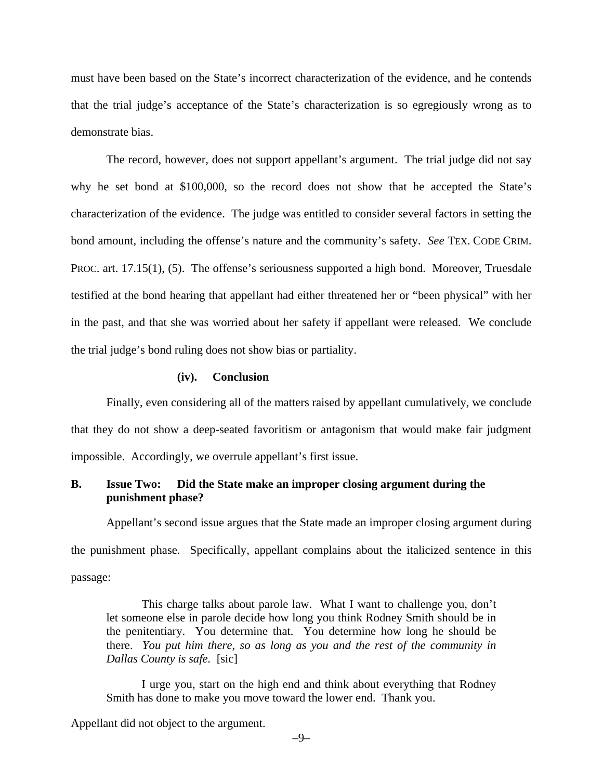must have been based on the State's incorrect characterization of the evidence, and he contends that the trial judge's acceptance of the State's characterization is so egregiously wrong as to demonstrate bias.

The record, however, does not support appellant's argument. The trial judge did not say why he set bond at \$100,000, so the record does not show that he accepted the State's characterization of the evidence. The judge was entitled to consider several factors in setting the bond amount, including the offense's nature and the community's safety. *See* TEX. CODE CRIM. PROC. art. 17.15(1), (5). The offense's seriousness supported a high bond. Moreover, Truesdale testified at the bond hearing that appellant had either threatened her or "been physical" with her in the past, and that she was worried about her safety if appellant were released. We conclude the trial judge's bond ruling does not show bias or partiality.

#### **(iv). Conclusion**

Finally, even considering all of the matters raised by appellant cumulatively, we conclude that they do not show a deep-seated favoritism or antagonism that would make fair judgment impossible. Accordingly, we overrule appellant's first issue.

# **B. Issue Two: Did the State make an improper closing argument during the punishment phase?**

Appellant's second issue argues that the State made an improper closing argument during the punishment phase. Specifically, appellant complains about the italicized sentence in this passage:

 This charge talks about parole law. What I want to challenge you, don't let someone else in parole decide how long you think Rodney Smith should be in the penitentiary. You determine that. You determine how long he should be there. *You put him there, so as long as you and the rest of the community in Dallas County is safe.* [sic]

 I urge you, start on the high end and think about everything that Rodney Smith has done to make you move toward the lower end. Thank you.

Appellant did not object to the argument.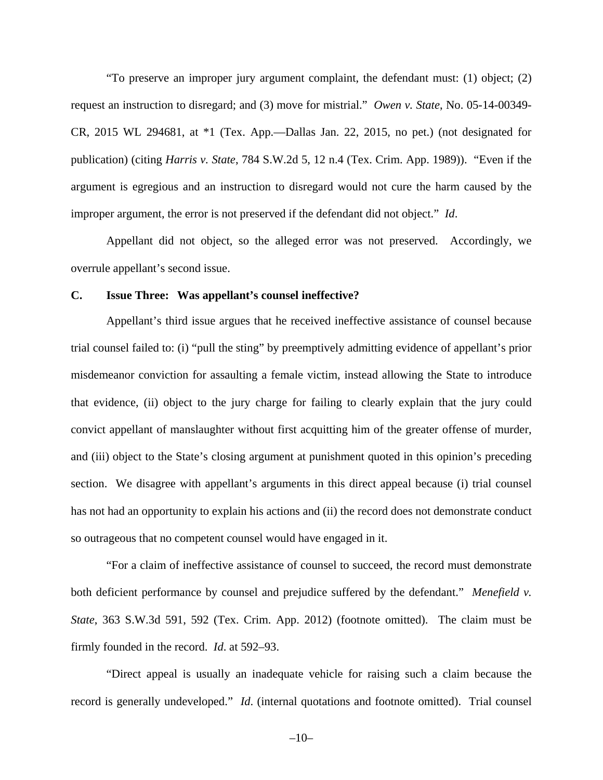"To preserve an improper jury argument complaint, the defendant must: (1) object; (2) request an instruction to disregard; and (3) move for mistrial." *Owen v. State*, No. 05-14-00349- CR, 2015 WL 294681, at \*1 (Tex. App.—Dallas Jan. 22, 2015, no pet.) (not designated for publication) (citing *Harris v. State*, 784 S.W.2d 5, 12 n.4 (Tex. Crim. App. 1989)). "Even if the argument is egregious and an instruction to disregard would not cure the harm caused by the improper argument, the error is not preserved if the defendant did not object." *Id*.

Appellant did not object, so the alleged error was not preserved. Accordingly, we overrule appellant's second issue.

#### **C. Issue Three: Was appellant's counsel ineffective?**

Appellant's third issue argues that he received ineffective assistance of counsel because trial counsel failed to: (i) "pull the sting" by preemptively admitting evidence of appellant's prior misdemeanor conviction for assaulting a female victim, instead allowing the State to introduce that evidence, (ii) object to the jury charge for failing to clearly explain that the jury could convict appellant of manslaughter without first acquitting him of the greater offense of murder, and (iii) object to the State's closing argument at punishment quoted in this opinion's preceding section. We disagree with appellant's arguments in this direct appeal because (i) trial counsel has not had an opportunity to explain his actions and (ii) the record does not demonstrate conduct so outrageous that no competent counsel would have engaged in it.

"For a claim of ineffective assistance of counsel to succeed, the record must demonstrate both deficient performance by counsel and prejudice suffered by the defendant." *Menefield v. State*, 363 S.W.3d 591, 592 (Tex. Crim. App. 2012) (footnote omitted). The claim must be firmly founded in the record. *Id*. at 592–93.

"Direct appeal is usually an inadequate vehicle for raising such a claim because the record is generally undeveloped." *Id*. (internal quotations and footnote omitted). Trial counsel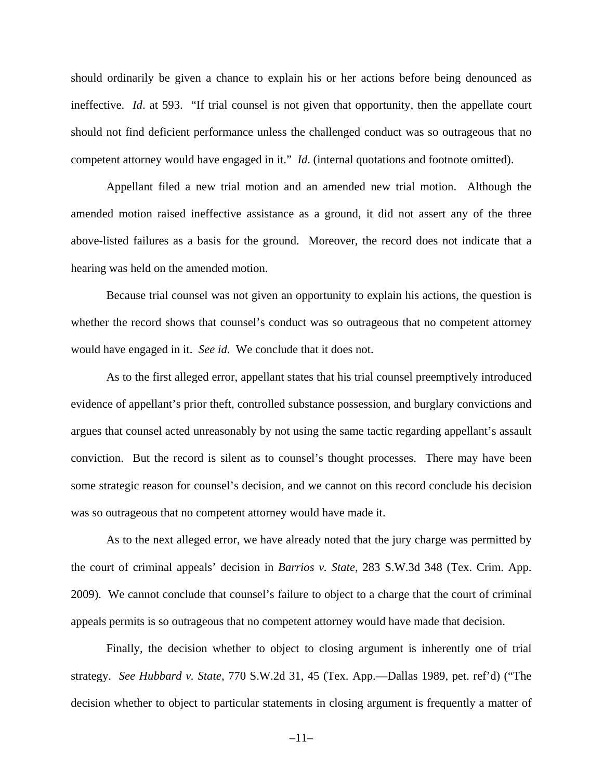should ordinarily be given a chance to explain his or her actions before being denounced as ineffective. *Id*. at 593. "If trial counsel is not given that opportunity, then the appellate court should not find deficient performance unless the challenged conduct was so outrageous that no competent attorney would have engaged in it." *Id*. (internal quotations and footnote omitted).

Appellant filed a new trial motion and an amended new trial motion. Although the amended motion raised ineffective assistance as a ground, it did not assert any of the three above-listed failures as a basis for the ground. Moreover, the record does not indicate that a hearing was held on the amended motion.

Because trial counsel was not given an opportunity to explain his actions, the question is whether the record shows that counsel's conduct was so outrageous that no competent attorney would have engaged in it. *See id*. We conclude that it does not.

As to the first alleged error, appellant states that his trial counsel preemptively introduced evidence of appellant's prior theft, controlled substance possession, and burglary convictions and argues that counsel acted unreasonably by not using the same tactic regarding appellant's assault conviction. But the record is silent as to counsel's thought processes. There may have been some strategic reason for counsel's decision, and we cannot on this record conclude his decision was so outrageous that no competent attorney would have made it.

As to the next alleged error, we have already noted that the jury charge was permitted by the court of criminal appeals' decision in *Barrios v. State*, 283 S.W.3d 348 (Tex. Crim. App. 2009). We cannot conclude that counsel's failure to object to a charge that the court of criminal appeals permits is so outrageous that no competent attorney would have made that decision.

Finally, the decision whether to object to closing argument is inherently one of trial strategy. *See Hubbard v. State*, 770 S.W.2d 31, 45 (Tex. App.—Dallas 1989, pet. ref'd) ("The decision whether to object to particular statements in closing argument is frequently a matter of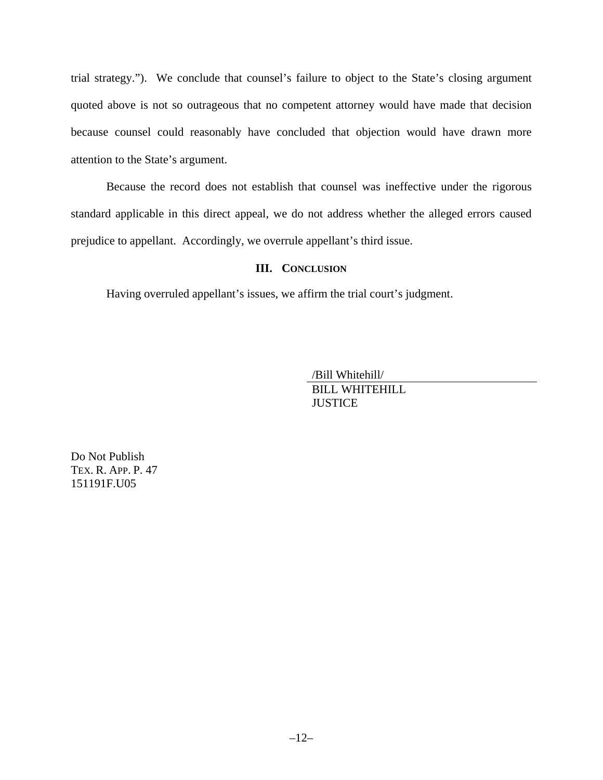trial strategy."). We conclude that counsel's failure to object to the State's closing argument quoted above is not so outrageous that no competent attorney would have made that decision because counsel could reasonably have concluded that objection would have drawn more attention to the State's argument.

Because the record does not establish that counsel was ineffective under the rigorous standard applicable in this direct appeal, we do not address whether the alleged errors caused prejudice to appellant. Accordingly, we overrule appellant's third issue.

# **III. CONCLUSION**

Having overruled appellant's issues, we affirm the trial court's judgment.

/Bill Whitehill/ BILL WHITEHILL **JUSTICE** 

Do Not Publish TEX. R. APP. P. 47 151191F.U05